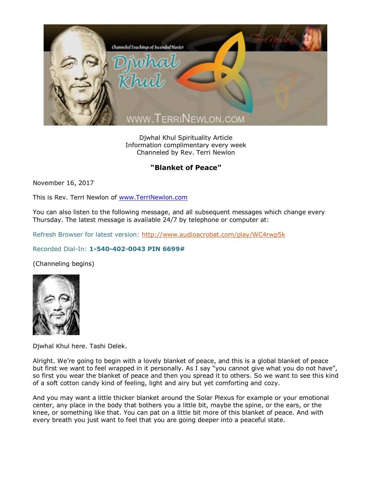

Djwhal Khul Spirituality Article Information complimentary every week Channeled by Rev. Terri Newlon

## "Blanket of Peace"

November 16, 2017

This is Rev. Terri Newlon of [www.TerriNewlon.com](http://www.terrinewlon.com/)

You can also listen to the following message, and all subsequent messages which change every Thursday. The latest message is available 24/7 by telephone or computer at:

Refresh Browser for latest version:<http://www.audioacrobat.com/play/WC4rwp5k>

## Recorded Dial-In: **1-540-402-0043 PIN 6699#**

(Channeling begins)



Djwhal Khul here. Tashi Delek.

Alright. We're going to begin with a lovely blanket of peace, and this is a global blanket of peace but first we want to feel wrapped in it personally. As I say "you cannot give what you do not have", so first you wear the blanket of peace and then you spread it to others. So we want to see this kind of a soft cotton candy kind of feeling, light and airy but yet comforting and cozy.

And you may want a little thicker blanket around the Solar Plexus for example or your emotional center, any place in the body that bothers you a little bit, maybe the spine, or the ears, or the knee, or something like that. You can pat on a little bit more of this blanket of peace. And with every breath you just want to feel that you are going deeper into a peaceful state.